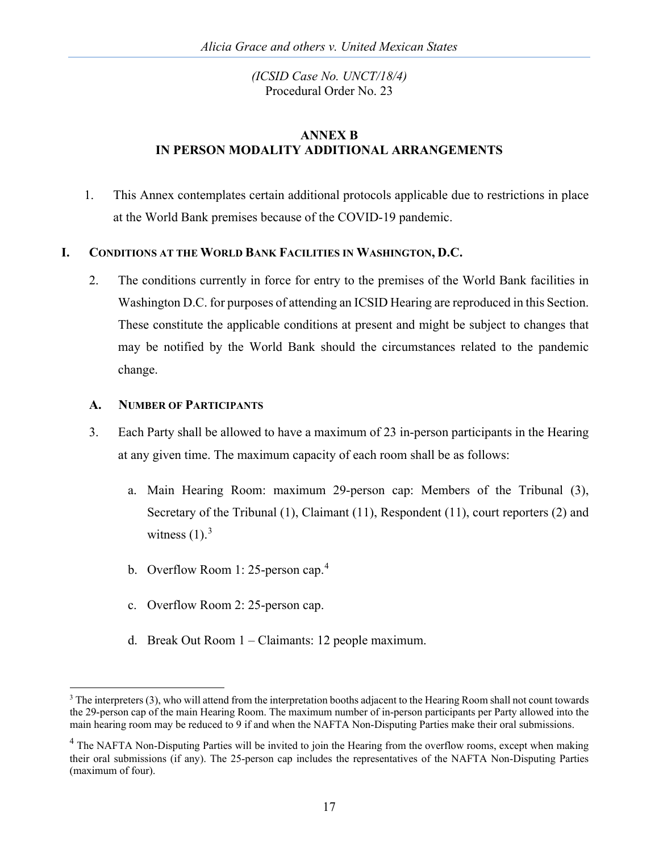## **ANNEX B IN PERSON MODALITY ADDITIONAL ARRANGEMENTS**

1. This Annex contemplates certain additional protocols applicable due to restrictions in place at the World Bank premises because of the COVID-19 pandemic.

## **I. CONDITIONS AT THE WORLD BANK FACILITIES IN WASHINGTON, D.C.**

2. The conditions currently in force for entry to the premises of the World Bank facilities in Washington D.C. for purposes of attending an ICSID Hearing are reproduced in this Section. These constitute the applicable conditions at present and might be subject to changes that may be notified by the World Bank should the circumstances related to the pandemic change.

### **A. NUMBER OF PARTICIPANTS**

- 3. Each Party shall be allowed to have a maximum of 23 in-person participants in the Hearing at any given time. The maximum capacity of each room shall be as follows:
	- a. Main Hearing Room: maximum 29-person cap: Members of the Tribunal (3), Secretary of the Tribunal (1), Claimant (11), Respondent (11), court reporters (2) and witness  $(1).<sup>3</sup>$  $(1).<sup>3</sup>$  $(1).<sup>3</sup>$
	- b. Overflow Room 1: 25-person cap.<sup>[4](#page-0-1)</sup>
	- c. Overflow Room 2: 25-person cap.
	- d. Break Out Room 1 Claimants: 12 people maximum.

<span id="page-0-0"></span><sup>&</sup>lt;sup>3</sup> The interpreters (3), who will attend from the interpretation booths adjacent to the Hearing Room shall not count towards the 29-person cap of the main Hearing Room. The maximum number of in-person participants per Party allowed into the main hearing room may be reduced to 9 if and when the NAFTA Non-Disputing Parties make their oral submissions.

<span id="page-0-1"></span><sup>&</sup>lt;sup>4</sup> The NAFTA Non-Disputing Parties will be invited to join the Hearing from the overflow rooms, except when making their oral submissions (if any). The 25-person cap includes the representatives of the NAFTA Non-Disputing Parties (maximum of four).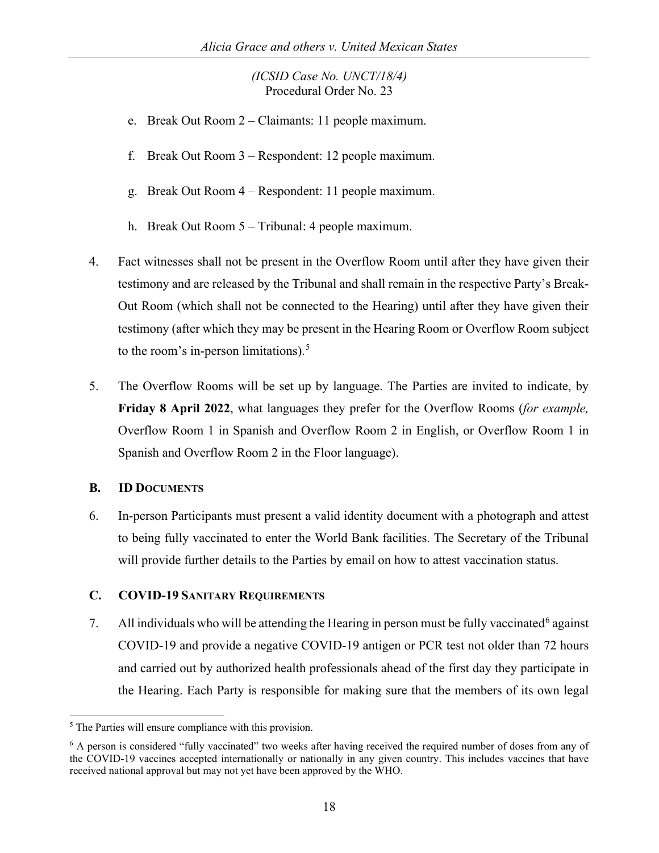- e. Break Out Room 2 Claimants: 11 people maximum.
- f. Break Out Room 3 Respondent: 12 people maximum.
- g. Break Out Room 4 Respondent: 11 people maximum.
- h. Break Out Room 5 Tribunal: 4 people maximum.
- 4. Fact witnesses shall not be present in the Overflow Room until after they have given their testimony and are released by the Tribunal and shall remain in the respective Party's Break-Out Room (which shall not be connected to the Hearing) until after they have given their testimony (after which they may be present in the Hearing Room or Overflow Room subject to the room's in-person limitations). [5](#page-1-0)
- 5. The Overflow Rooms will be set up by language. The Parties are invited to indicate, by **Friday 8 April 2022**, what languages they prefer for the Overflow Rooms (*for example,* Overflow Room 1 in Spanish and Overflow Room 2 in English, or Overflow Room 1 in Spanish and Overflow Room 2 in the Floor language).

### **B. ID DOCUMENTS**

6. In-person Participants must present a valid identity document with a photograph and attest to being fully vaccinated to enter the World Bank facilities. The Secretary of the Tribunal will provide further details to the Parties by email on how to attest vaccination status.

### **C. COVID-19 SANITARY REQUIREMENTS**

7. All individuals who will be attending the Hearing in person must be fully vaccinated<sup>[6](#page-1-1)</sup> against COVID-19 and provide a negative COVID-19 antigen or PCR test not older than 72 hours and carried out by authorized health professionals ahead of the first day they participate in the Hearing. Each Party is responsible for making sure that the members of its own legal

<span id="page-1-0"></span><sup>&</sup>lt;sup>5</sup> The Parties will ensure compliance with this provision.

<span id="page-1-1"></span><sup>&</sup>lt;sup>6</sup> A person is considered "fully vaccinated" two weeks after having received the required number of doses from any of the COVID-19 vaccines accepted internationally or nationally in any given country. This includes vaccines that have received national approval but may not yet have been approved by the WHO.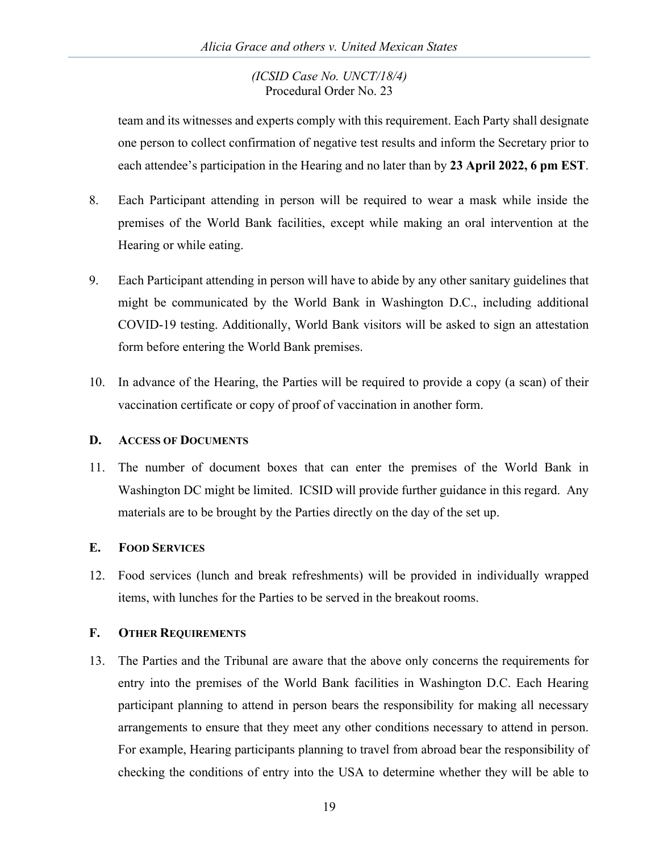team and its witnesses and experts comply with this requirement. Each Party shall designate one person to collect confirmation of negative test results and inform the Secretary prior to each attendee's participation in the Hearing and no later than by **23 April 2022, 6 pm EST**.

- 8. Each Participant attending in person will be required to wear a mask while inside the premises of the World Bank facilities, except while making an oral intervention at the Hearing or while eating.
- 9. Each Participant attending in person will have to abide by any other sanitary guidelines that might be communicated by the World Bank in Washington D.C., including additional COVID-19 testing. Additionally, World Bank visitors will be asked to sign an attestation form before entering the World Bank premises.
- 10. In advance of the Hearing, the Parties will be required to provide a copy (a scan) of their vaccination certificate or copy of proof of vaccination in another form.

## **D. ACCESS OF DOCUMENTS**

11. The number of document boxes that can enter the premises of the World Bank in Washington DC might be limited. ICSID will provide further guidance in this regard. Any materials are to be brought by the Parties directly on the day of the set up.

# **E. FOOD SERVICES**

12. Food services (lunch and break refreshments) will be provided in individually wrapped items, with lunches for the Parties to be served in the breakout rooms.

# **F. OTHER REQUIREMENTS**

13. The Parties and the Tribunal are aware that the above only concerns the requirements for entry into the premises of the World Bank facilities in Washington D.C. Each Hearing participant planning to attend in person bears the responsibility for making all necessary arrangements to ensure that they meet any other conditions necessary to attend in person. For example, Hearing participants planning to travel from abroad bear the responsibility of checking the conditions of entry into the USA to determine whether they will be able to